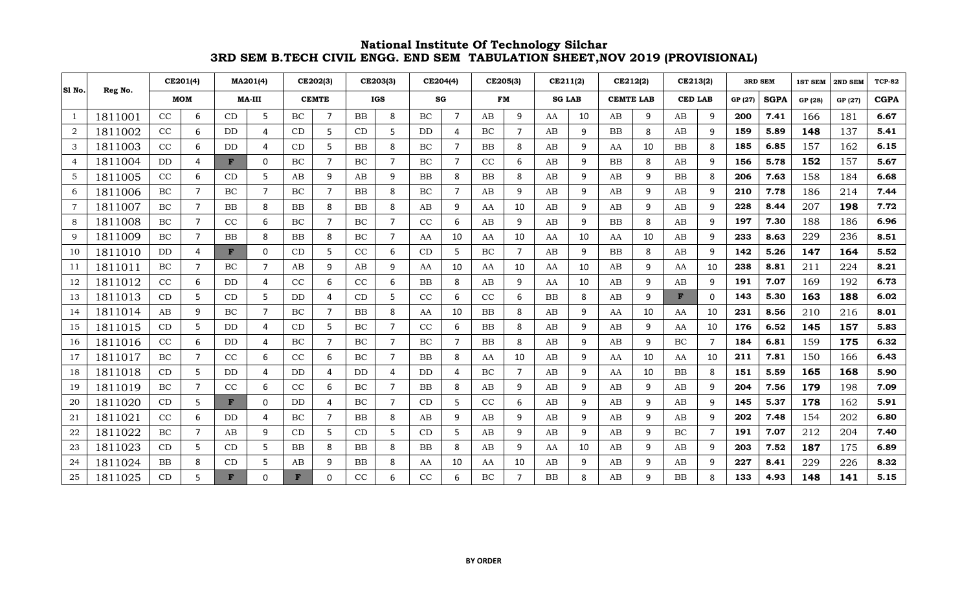| SI No.         | Reg No. |     | CE201(4)       |               | MA201(4)       |              | CE202(3) |            | CE203(3)       |           | CE204(4)       | CE205(3)  |                | CE211(2)      |    | CE212(2)         |    | CE213(2)       |          | <b>3RD SEM</b> |             | <b>1ST SEM</b> | 2ND SEM | <b>TCP-82</b> |
|----------------|---------|-----|----------------|---------------|----------------|--------------|----------|------------|----------------|-----------|----------------|-----------|----------------|---------------|----|------------------|----|----------------|----------|----------------|-------------|----------------|---------|---------------|
|                |         |     | <b>MOM</b>     | <b>MA-III</b> |                | <b>CEMTE</b> |          | <b>IGS</b> |                | SG        |                |           | <b>FM</b>      | <b>SG LAB</b> |    | <b>CEMTE LAB</b> |    | <b>CED LAB</b> |          | GP (27)        | <b>SGPA</b> | GP (28)        | GP (27) | <b>CGPA</b>   |
| 1              | 1811001 | CC  | 6              | CD            | 5              | BC           | 7        | <b>BB</b>  | 8              | BC        | $\overline{7}$ | AB        | 9              | AA            | 10 | AB               | 9  | AB             | 9        | 200            | 7.41        | 166            | 181     | 6.67          |
| $\overline{2}$ | 1811002 | CC  | 6              | <b>DD</b>     | 4              | CD           | 5        | CD         | 5              | <b>DD</b> | 4              | BC        | $\overline{7}$ | AB            | 9  | <b>BB</b>        | 8  | AB             | 9        | 159            | 5.89        | 148            | 137     | 5.41          |
| 3              | 1811003 | CC  | 6              | DD            | 4              | CD           | 5        | <b>BB</b>  | 8              | BC        | $\overline{7}$ | <b>BB</b> | 8              | AB            | 9  | AA               | 10 | <b>BB</b>      | 8        | 185            | 6.85        | 157            | 162     | 6.15          |
| 4              | 1811004 | DD. | 4              | F             | 0              | BC           | 7        | BC         | $\overline{7}$ | BC        | $\overline{7}$ | CC        | 6              | AB            | 9  | <b>BB</b>        | 8  | AB             | 9        | 156            | 5.78        | 152            | 157     | 5.67          |
| 5              | 1811005 | CC  | 6              | CD            | 5              | AB           | 9        | AB         | 9              | BB        | 8              | <b>BB</b> | 8              | AB            | 9  | AB               | 9  | BB             | 8        | 206            | 7.63        | 158            | 184     | 6.68          |
| 6              | 1811006 | BC  | $\overline{7}$ | BC            | $\overline{7}$ | BC           | 7        | <b>BB</b>  | 8              | BC        | $\overline{7}$ | AB        | 9              | AB            | 9  | AB               | 9  | AB             | 9        | 210            | 7.78        | 186            | 214     | 7.44          |
| $\overline{7}$ | 1811007 | BC  | $\overline{7}$ | <b>BB</b>     | 8              | <b>BB</b>    | 8        | <b>BB</b>  | 8              | AB        | 9              | AA        | 10             | AB            | 9  | AB               | 9  | AB             | q        | 228            | 8.44        | 207            | 198     | 7.72          |
| 8              | 1811008 | BC  | $\overline{7}$ | CC            | 6              | BC           | 7        | BC         | 7              | CC        | 6              | AB        | 9              | AB            | 9  | <b>BB</b>        | 8  | AB             | q        | 197            | 7.30        | 188            | 186     | 6.96          |
| 9              | 1811009 | BC  | $\overline{7}$ | <b>BB</b>     | 8              | <b>BB</b>    | 8        | BC         | $\overline{7}$ | AA        | 10             | AA        | 10             | AA            | 10 | AA               | 10 | AB             | 9        | 233            | 8.63        | 229            | 236     | 8.51          |
| 10             | 1811010 | DD  | $\overline{4}$ | F             | 0              | CD           | 5        | CC         | 6              | CD        | 5              | BC        | $\overline{7}$ | AB            | 9  | <b>BB</b>        | 8  | AB             | q        | 142            | 5.26        | 147            | 164     | 5.52          |
| 11             | 1811011 | BC  | $\overline{7}$ | BC            | $\overline{7}$ | AB           | 9        | AB         | 9              | AA        | 10             | AA        | 10             | AA            | 10 | AB               | 9  | AA             | 10       | 238            | 8.81        | 211            | 224     | 8.21          |
| 12             | 1811012 | CC  | 6              | DD            | 4              | CC           | 6        | CC         | 6              | <b>BB</b> | 8              | AB        | 9              | AA            | 10 | AB               | 9  | AB             | 9        | 191            | 7.07        | 169            | 192     | 6.73          |
| 13             | 1811013 | CD  | 5              | CD            | 5              | <b>DD</b>    | 4        | CD         | 5              | CC        | 6              | CC        | 6              | <b>BB</b>     | 8  | AB               | 9  | F              | $\Omega$ | 143            | 5.30        | 163            | 188     | 6.02          |
| 14             | 1811014 | AB  | 9              | BC            | $\overline{7}$ | BC           |          | <b>BB</b>  | 8              | AA        | 10             | <b>BB</b> | 8              | AB            | 9  | AA               | 10 | AA             | 10       | 231            | 8.56        | 210            | 216     | 8.01          |
| 15             | 1811015 | CD  | 5              | <b>DD</b>     | 4              | CD           | 5        | $\rm BC$   | $\overline{7}$ | CC        | 6              | <b>BB</b> | 8              | AB            | 9  | AB               | 9  | AA             | 10       | 176            | 6.52        | 145            | 157     | 5.83          |
| 16             | 1811016 | CC  | 6              | DD            | 4              | BC           | 7        | BC         | $\overline{7}$ | BC        | $\overline{7}$ | <b>BB</b> | 8              | AB            | 9  | AB               | 9  | BC             | 7        | 184            | 6.81        | 159            | 175     | 6.32          |
| 17             | 1811017 | BC  | $\overline{7}$ | CC            | 6              | CC           | 6        | BC         | 7              | <b>BB</b> | 8              | AA        | 10             | AB            | 9  | AA               | 10 | AA             | 10       | 211            | 7.81        | 150            | 166     | 6.43          |
| 18             | 1811018 | CD  | 5              | DD            | 4              | <b>DD</b>    | Δ        | DD         | 4              | DD        | 4              | BC        | $\overline{7}$ | AB            | 9  | AA               | 10 | BB             | 8        | 151            | 5.59        | 165            | 168     | 5.90          |
| 19             | 1811019 | BC  | $\overline{7}$ | CC            | 6              | CC           | 6        | BC         | $\overline{7}$ | <b>BB</b> | 8              | AB        | 9              | AB            | 9  | AB               | 9  | AB             | 9        | 204            | 7.56        | 179            | 198     | 7.09          |
| 20             | 1811020 | CD  | 5              | $\mathbf{F}$  | $\Omega$       | <b>DD</b>    | Δ        | BC         | $\overline{7}$ | CD        | 5              | CC        | 6              | AB            | 9  | AB               | 9  | AB             | q        | 145            | 5.37        | 178            | 162     | 5.91          |
| 21             | 1811021 | CC  | 6              | DD            | 4              | BC           | 7        | BB         | 8              | AB        | 9              | AB        | 9              | AB            | 9  | AB               | 9  | AB             | 9        | 202            | 7.48        | 154            | 202     | 6.80          |
| 22             | 1811022 | BC  | $\overline{7}$ | AB            | 9              | CD           | 5        | CD         | 5              | CD        | 5              | AB        | 9              | AB            | 9  | AB               | 9  | BC             | 7        | 191            | 7.07        | 212            | 204     | 7.40          |
| 23             | 1811023 | CD  | 5              | CD            | 5              | <b>BB</b>    | 8        | <b>BB</b>  | 8              | <b>BB</b> | 8              | AB        | 9              | AA            | 10 | AB               | 9  | AB             | q        | 203            | 7.52        | 187            | 175     | 6.89          |
| 24             | 1811024 | BB  | 8              | CD            | 5              | AB           | 9        | BB         | 8              | AA        | 10             | AA        | 10             | AB            | 9  | AB               | 9  | AB             | 9        | 227            | 8.41        | 229            | 226     | 8.32          |
| 25             | 1811025 | CD  | 5              | F             | 0              | F            | $\Omega$ | CC         | 6              | CC        | 6              | BC        | 7              | <b>BB</b>     | 8  | AB               | 9  | <b>BB</b>      | 8        | 133            | 4.93        | 148            | 141     | 5.15          |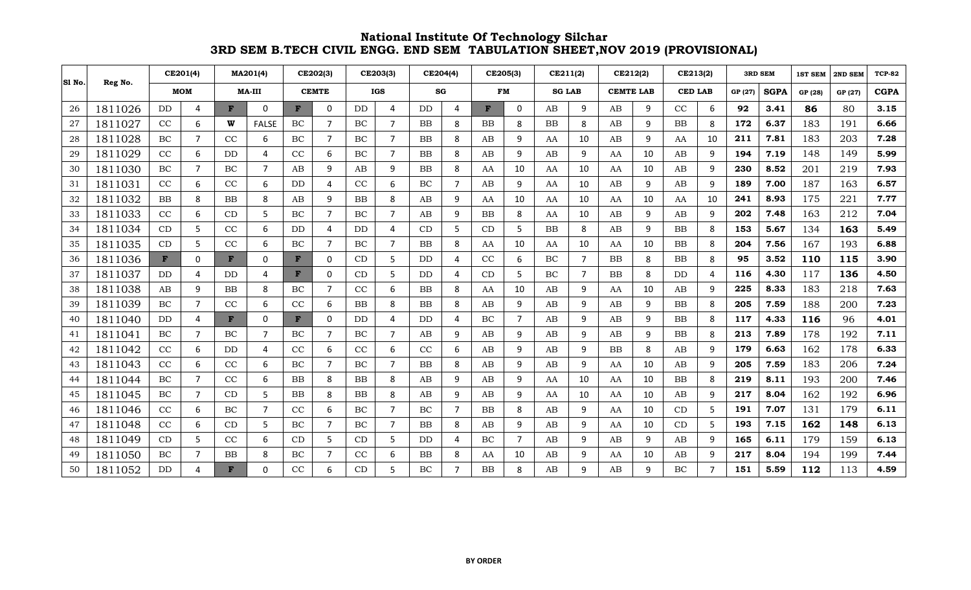|        |         | CE201(4)     |                | MA201(4)      |                | CE202(3)     |                | CE203(3)  |                | CE204(4)  |                | CE205(3)  |                | CE211(2)      |                | CE212(2)         |    | CE213(2)       |    | <b>3RD SEM</b> |             | <b>1ST SEM</b> | 2ND SEM | <b>TCP-82</b> |
|--------|---------|--------------|----------------|---------------|----------------|--------------|----------------|-----------|----------------|-----------|----------------|-----------|----------------|---------------|----------------|------------------|----|----------------|----|----------------|-------------|----------------|---------|---------------|
| SI No. | Reg No. |              | <b>MOM</b>     | <b>MA-III</b> |                | <b>CEMTE</b> |                |           | <b>IGS</b>     | SG        |                |           | <b>FM</b>      | <b>SG LAB</b> |                | <b>CEMTE LAB</b> |    | <b>CED LAB</b> |    | GP (27)        | <b>SGPA</b> | GP (28)        | GP (27) | <b>CGPA</b>   |
| 26     | 1811026 | <b>DD</b>    | 4              | F             | 0              | F            | 0              | DD        | $\overline{4}$ | DD        | 4              |           | $\mathbf{0}$   | AB            | 9              | AB               | 9  | $\rm CC$       | 6  | 92             | 3.41        | 86             | 80      | 3.15          |
| 27     | 1811027 | CC           | 6              | W             | <b>FALSE</b>   | BC           | $\overline{7}$ | BC        | 7              | <b>BB</b> | 8              | <b>BB</b> | 8              | BB            | 8              | AB               | 9  | <b>BB</b>      | 8  | 172            | 6.37        | 183            | 191     | 6.66          |
| 28     | 1811028 | BC           | $\overline{7}$ | CC            | 6              | BC           | 7              | BC        | 7              | BB        | 8              | AB        | 9              | AA            | 10             | AB               | 9  | AA             | 10 | 211            | 7.81        | 183            | 203     | 7.28          |
| 29     | 1811029 | CC           | 6              | <b>DD</b>     | 4              | CC           | 6              | BC        | 7              | <b>BB</b> | 8              | AB        | 9              | AB            | 9              | AA               | 10 | AB             | 9  | 194            | 7.19        | 148            | 149     | 5.99          |
| 30     | 1811030 | BC           | $\overline{7}$ | BC            | $\overline{7}$ | AB           | 9              | AB        | 9              | BB        | 8              | AA        | 10             | AA            | 10             | AA               | 10 | AB             | 9  | 230            | 8.52        | 201            | 219     | 7.93          |
| 31     | 1811031 | CC           | 6              | CC            | 6              | DD           | 4              | CC        | 6              | BC        | $\overline{7}$ | AB        | 9              | AA            | 10             | AB               | 9  | AB             | q  | 189            | 7.00        | 187            | 163     | 6.57          |
| 32     | 1811032 | <b>BB</b>    | 8              | <b>BB</b>     | 8              | AB           | 9              | <b>BB</b> | 8              | AB        | 9              | AA        | 10             | AA            | 10             | AA               | 10 | AA             | 10 | 241            | 8.93        | 175            | 221     | 7.77          |
| 33     | 1811033 | CC           | 6              | CD            | 5              | BC           | $\overline{7}$ | BC        | $\overline{7}$ | AB        | 9              | BB        | 8              | AA            | 10             | AB               | 9  | AB             | 9  | 202            | 7.48        | 163            | 212     | 7.04          |
| 34     | 1811034 | CD           | 5              | CC            | 6              | DD           | 4              | DD        | 4              | CD        | 5              | CD        | .5             | <b>BB</b>     | 8              | AB               | 9  | <b>BB</b>      | 8  | 153            | 5.67        | 134            | 163     | 5.49          |
| 35     | 1811035 | CD           | 5              | CC            | 6              | BC           | $\overline{7}$ | BC        | 7              | BB        | 8              | AA        | 10             | AA            | 10             | AA               | 10 | <b>BB</b>      | 8  | 204            | 7.56        | 167            | 193     | 6.88          |
| 36     | 1811036 | $\mathbf{F}$ | 0              | $\mathbf{F}$  | 0              | $\mathbf{F}$ | 0              | CD        | 5              | DD        | 4              | CC        | 6              | BC            | $\overline{7}$ | <b>BB</b>        | 8  | <b>BB</b>      | 8  | 95             | 3.52        | 110            | 115     | 3.90          |
| 37     | 1811037 | <b>DD</b>    | 4              | <b>DD</b>     | 4              | F            | 0              | CD        | 5              | DD        | 4              | CD        | 5              | BC            | $\overline{7}$ | <b>BB</b>        | 8  | <b>DD</b>      | 4  | 116            | 4.30        | 117            | 136     | 4.50          |
| 38     | 1811038 | AB           | 9              | <b>BB</b>     | 8              | BC           | $\overline{7}$ | CC        | 6              | <b>BB</b> | 8              | AA        | 10             | AB            | 9              | AA               | 10 | AB             | q  | 225            | 8.33        | 183            | 218     | 7.63          |
| 39     | 1811039 | BC           | 7              | CC            | 6              | CC           | 6              | BB        | 8              | <b>BB</b> | 8              | AB        | 9              | AB            | 9              | AB               | 9  | <b>BB</b>      | 8  | 205            | 7.59        | 188            | 200     | 7.23          |
| 40     | 1811040 | <b>DD</b>    | 4              | $\mathbf{F}$  | 0              | $\mathbf{F}$ | 0              | DD        | 4              | <b>DD</b> | 4              | BC        | 7              | AB            | 9              | AB               | 9  | <b>BB</b>      | 8  | 117            | 4.33        | 116            | 96      | 4.01          |
| 41     | 1811041 | BC           | $\overline{7}$ | BC            | $\overline{7}$ | BC           | $\overline{7}$ | BC        | $\overline{7}$ | AB        | 9              | AB        | 9              | AB            | 9              | AB               | 9  | <b>BB</b>      | 8  | 213            | 7.89        | 178            | 192     | 7.11          |
| 42     | 1811042 | CC           | 6              | <b>DD</b>     | 4              | CC           | 6              | CC        | 6              | CC        | 6              | AB        | q              | AB            | 9              | <b>BB</b>        | 8  | AB             | 9  | 179            | 6.63        | 162            | 178     | 6.33          |
| 43     | 1811043 | CC           | 6              | CC            | 6              | BC           | 7              | BC        | 7              | <b>BB</b> | 8              | AB        | 9              | AB            | 9              | AA               | 10 | AB             | 9  | 205            | 7.59        | 183            | 206     | 7.24          |
| 44     | 1811044 | BC           | $\overline{7}$ | CC            | 6              | <b>BB</b>    | 8              | BB        | 8              | AB        | 9              | AB        | 9              | AA            | 10             | AA               | 10 | <b>BB</b>      | 8  | 219            | 8.11        | 193            | 200     | 7.46          |
| 45     | 1811045 | <b>BC</b>    | $\overline{7}$ | CD            | 5              | <b>BB</b>    | 8              | <b>BB</b> | 8              | AB        | 9              | AB        | 9              | AA            | 10             | AA               | 10 | AB             | q  | 217            | 8.04        | 162            | 192     | 6.96          |
| 46     | 1811046 | CC           | 6              | BC            | $\overline{7}$ | CC           | 6              | <b>BC</b> | $\overline{7}$ | BC        | $\overline{7}$ | <b>BB</b> | 8              | AB            | 9              | AA               | 10 | CD             | 5  | 191            | 7.07        | 131            | 179     | 6.11          |
| 47     | 1811048 | CC           | 6              | CD            | 5              | BC           | $\overline{ }$ | <b>BC</b> | 7              | <b>BB</b> | 8              | AB        | q              | AB            | 9              | AA               | 10 | CD             | 5  | 193            | 7.15        | 162            | 148     | 6.13          |
| 48     | 1811049 | CD           | 5              | CC            | 6              | CD           | 5              | CD        | 5              | <b>DD</b> | 4              | BC        | $\overline{7}$ | AB            | 9              | AB               | 9  | AB             | q  | 165            | 6.11        | 179            | 159     | 6.13          |
| 49     | 1811050 | BC           | $\overline{7}$ | <b>BB</b>     | 8              | BC           | $\overline{7}$ | CC        | 6              | <b>BB</b> | 8              | AA        | 10             | AB            | 9              | AA               | 10 | AB             | q  | 217            | 8.04        | 194            | 199     | 7.44          |
| 50     | 1811052 | DD           | 4              | F             | 0              | CC           | 6              | CD        | 5              | BC        | $\overline{7}$ | <b>BB</b> | 8              | AB            | 9              | AB               | 9  | <b>BC</b>      |    | 151            | 5.59        | 112            | 113     | 4.59          |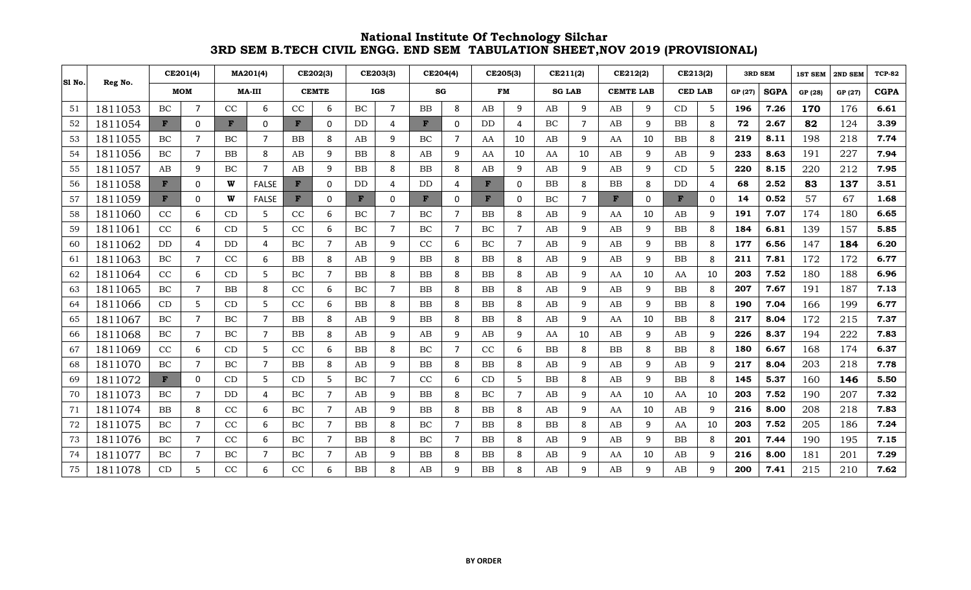|        |         |              | CE201(4)       |              | MA201(4)       |              | CE202(3)       |              | CE203(3)       |              | CE204(4)       |           | CE205(3)              |               | CE211(2)       |                  | CE212(2) |                | CE213(2) | <b>3RD SEM</b> |             | <b>1ST SEM</b> | 2ND SEM | <b>TCP-82</b> |
|--------|---------|--------------|----------------|--------------|----------------|--------------|----------------|--------------|----------------|--------------|----------------|-----------|-----------------------|---------------|----------------|------------------|----------|----------------|----------|----------------|-------------|----------------|---------|---------------|
| SI No. | Reg No. |              | <b>MOM</b>     | $MA-III$     |                | <b>CEMTE</b> |                | <b>IGS</b>   |                | SG           |                |           | <b>FM</b>             | <b>SG LAB</b> |                | <b>CEMTE LAB</b> |          | <b>CED LAB</b> |          | GP (27)        | <b>SGPA</b> | GP (28)        | GP (27) | <b>CGPA</b>   |
| 51     | 1811053 | BC           | $\overline{7}$ | CC           | 6              | CC           | 6              | BC           | $\overline{7}$ | <b>BB</b>    | 8              | AB        | 9                     | AB            | 9              | AB               | 9        | CD             | 5        | 196            | 7.26        | 170            | 176     | 6.61          |
| 52     | 1811054 | $\mathbf{F}$ | $\Omega$       | $\mathbf{F}$ | 0              | F            | 0              | DD           | 4              | $\mathbf{F}$ | $\Omega$       | <b>DD</b> | $\boldsymbol{\Delta}$ | BC            | $\overline{7}$ | AB               | 9        | <b>BB</b>      | 8        | 72             | 2.67        | 82             | 124     | 3.39          |
| 53     | 1811055 | BC           | $\overline{7}$ | BC           | $\overline{7}$ | <b>BB</b>    | 8              | AB           | 9              | BC           | $\overline{7}$ | AA        | 10                    | AB            | 9              | AA               | 10       | <b>BB</b>      | 8        | 219            | 8.11        | 198            | 218     | 7.74          |
| 54     | 1811056 | BC           | $\overline{7}$ | <b>BB</b>    | 8              | AB           | 9              | BB           | 8              | AB           | 9              | AA        | 10                    | AA            | 10             | AB               | 9        | AB             | q        | 233            | 8.63        | 191            | 227     | 7.94          |
| 55     | 1811057 | AB           | 9              | BC           | $\overline{7}$ | AB           | 9              | BB           | 8              | <b>BB</b>    | 8              | AB        | 9                     | AB            | 9              | AB               | 9        | CD             | 5        | 220            | 8.15        | 220            | 212     | 7.95          |
| 56     | 1811058 | $\mathbf{F}$ | $\Omega$       | W            | <b>FALSE</b>   | $\mathbf{F}$ | 0              | DD           | 4              | <b>DD</b>    | 4              | F         | $\mathbf{0}$          | BB            | 8              | <b>BB</b>        | 8        | DD             | 4        | 68             | 2.52        | 83             | 137     | 3.51          |
| 57     | 1811059 | $\mathbf{F}$ | 0              | W            | <b>FALSE</b>   | $\mathbf{F}$ | 0              | $\mathbf{F}$ | 0              | $\mathbf{F}$ | 0              | F         | 0                     | BC            | $\overline{7}$ | $\mathbf{F}$     | 0        | F              | 0        | 14             | 0.52        | 57             | 67      | 1.68          |
| 58     | 1811060 | CC           | 6              | CD           | 5              | CC           | 6              | BC           | 7              | BC           | $\overline{7}$ | BB        | 8                     | AB            | 9              | AA               | 10       | AB             | 9        | 191            | 7.07        | 174            | 180     | 6.65          |
| 59     | 1811061 | CC           | 6              | CD           | 5              | CC           | 6              | BC           | 7              | BC           | $\overline{7}$ | BC        | 7                     | AB            | 9              | AB               | 9        | <b>BB</b>      | -8       | 184            | 6.81        | 139            | 157     | 5.85          |
| 60     | 1811062 | <b>DD</b>    | 4              | DD.          | $\overline{4}$ | BC           | $\overline{7}$ | AB           | 9              | CC           | 6              | BC        | 7                     | AB            | 9              | AB               | 9        | <b>BB</b>      | 8        | 177            | 6.56        | 147            | 184     | 6.20          |
| 61     | 1811063 | BC           | $\overline{7}$ | CC           | 6              | <b>BB</b>    | 8              | AB           | 9              | <b>BB</b>    | 8              | <b>BB</b> | 8                     | AB            | 9              | AB               | 9        | BB             | 8        | 211            | 7.81        | 172            | 172     | 6.77          |
| 62     | 1811064 | CC           | 6              | CD           | 5              | BC           | $\overline{7}$ | BB           | 8              | <b>BB</b>    | 8              | <b>BB</b> | 8                     | AB            | 9              | AA               | 10       | AA             | 10       | 203            | 7.52        | 180            | 188     | 6.96          |
| 63     | 1811065 | $\rm BC$     | $\overline{7}$ | BB           | 8              | CC           | 6              | BC           | $\overline{7}$ | BB           | 8              | BB        | 8                     | AB            | 9              | AB               | 9        | BB             | 8        | 207            | 7.67        | 191            | 187     | 7.13          |
| 64     | 1811066 | CD           | 5              | CD           | 5              | CC           | 6              | BB           | 8              | <b>BB</b>    | 8              | <b>BB</b> | 8                     | AB            | 9              | AB               | 9        | BB             | 8        | 190            | 7.04        | 166            | 199     | 6.77          |
| 65     | 1811067 | <b>BC</b>    | $\overline{7}$ | BC           | $\overline{7}$ | <b>BB</b>    | 8              | AB           | 9              | <b>BB</b>    | 8              | <b>BB</b> | 8                     | AB            | 9              | AA               | 10       | <b>BB</b>      | 8        | 217            | 8.04        | 172            | 215     | 7.37          |
| 66     | 1811068 | BC           | $\overline{7}$ | BC           | $\overline{7}$ | <b>BB</b>    | 8              | AB           | 9              | AB           | 9              | AB        | 9                     | AA            | 10             | AB               | 9        | AB             | 9        | 226            | 8.37        | 194            | 222     | 7.83          |
| 67     | 1811069 | CC           | 6              | CD           | 5              | CC           | 6              | BB           | 8              | BC           | $\overline{7}$ | CC        | 6                     | <b>BB</b>     | 8              | <b>BB</b>        | 8        | <b>BB</b>      | 8        | 180            | 6.67        | 168            | 174     | 6.37          |
| 68     | 1811070 | BC           | 7              | BC           | $\overline{7}$ | <b>BB</b>    | 8              | AB           | 9              | <b>BB</b>    | 8              | <b>BB</b> | 8                     | AB            | 9              | AB               | 9        | AB             | q        | 217            | 8.04        | 203            | 218     | 7.78          |
| 69     | 1811072 | $\mathbf{F}$ | 0              | CD           | 5              | CD           | 5              | $\rm BC$     | $\overline{7}$ | CC           | 6              | CD        | .5                    | BB            | 8              | AB               | 9        | <b>BB</b>      | 8        | 145            | 5.37        | 160            | 146     | 5.50          |
| 70     | 1811073 | BC           | $\overline{7}$ | <b>DD</b>    | 4              | BC           | $\overline{7}$ | AB           | 9              | <b>BB</b>    | 8              | BC        | $\overline{7}$        | AB            | 9              | AA               | 10       | AA             | 10       | 203            | 7.52        | 190            | 207     | 7.32          |
| 71     | 1811074 | <b>BB</b>    | 8              | CC           | 6              | BC           | $\overline{7}$ | AB           | 9              | <b>BB</b>    | 8              | BB        | 8                     | AB            | 9              | AA               | 10       | AB             | 9        | 216            | 8.00        | 208            | 218     | 7.83          |
| 72     | 1811075 | BC           | $\overline{7}$ | CC           | 6              | BC           | $\overline{ }$ | <b>BB</b>    | 8              | BC           | $\overline{7}$ | <b>BB</b> | 8                     | BB            | 8              | AB               | 9        | AA             | 10       | 203            | 7.52        | 205            | 186     | 7.24          |
| 73     | 1811076 | BC           | $\overline{7}$ | CC           | 6              | BC           | $\overline{7}$ | <b>BB</b>    | 8              | BC           | $\overline{7}$ | <b>BB</b> | 8                     | AB            | 9              | AB               | 9        | <b>BB</b>      | 8        | 201            | 7.44        | 190            | 195     | 7.15          |
| 74     | 1811077 | BC           | $\overline{7}$ | BC           | $\overline{7}$ | BC           | $\overline{7}$ | AB           | 9              | <b>BB</b>    | 8              | <b>BB</b> | 8                     | AB            | 9              | AA               | 10       | AB             | q        | 216            | 8.00        | 181            | 201     | 7.29          |
| 75     | 1811078 | CD           | 5              | CC           | 6              | CC           | 6              | BB           | 8              | AB           | q              | <b>BB</b> |                       | AB            | 9              | AB               | 9        | AB             | q        | 200            | 7.41        | 215            | 210     | 7.62          |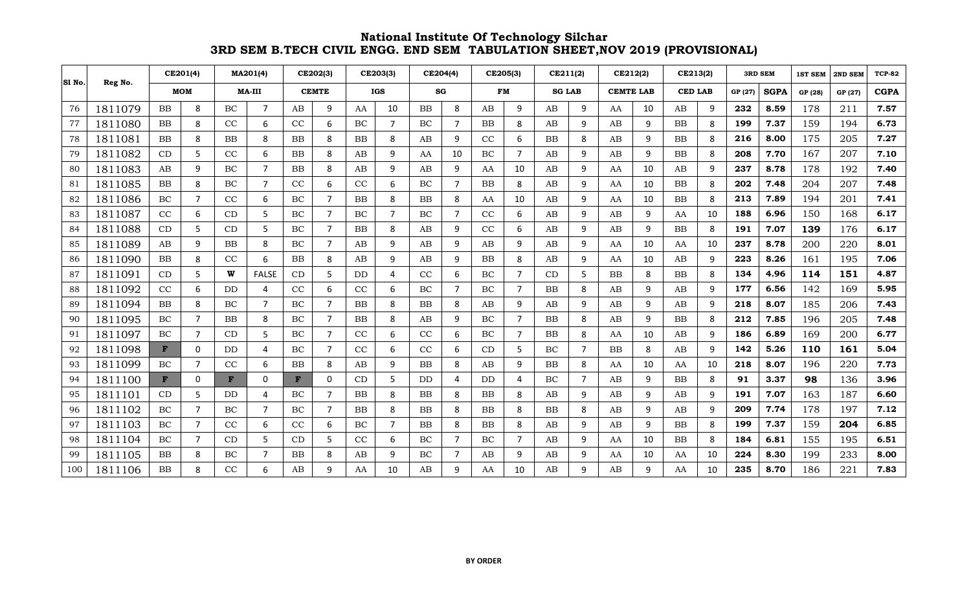|        |         |              | CE201(4)       |               | MA201(4)       |              | CE202(3)       |            | CE203(3) |           | CE204(4)       |           | CE205(3)              |               | CE211(2)       |                  | CE212(2) |                | CE213(2) | <b>3RD SEM</b> |      | <b>1ST SEM</b> | 2ND SEM | <b>TCP-82</b> |
|--------|---------|--------------|----------------|---------------|----------------|--------------|----------------|------------|----------|-----------|----------------|-----------|-----------------------|---------------|----------------|------------------|----------|----------------|----------|----------------|------|----------------|---------|---------------|
| SI No. | Reg No. |              | <b>MOM</b>     | <b>MA-III</b> |                | <b>CEMTE</b> |                | <b>IGS</b> |          | SG        |                |           | <b>FM</b>             | <b>SG LAB</b> |                | <b>CEMTE LAB</b> |          | <b>CED LAB</b> |          | GP (27)        |      | GP (28)        | GP (27) | <b>CGPA</b>   |
| 76     | 1811079 | $_{\rm BB}$  | 8              | BC            | $\overline{7}$ | AB           | 9              | AA         | 10       | <b>BB</b> | 8              | AB        | q                     | AB            | 9              | AA               | 10       | AB             | 9        | 232            | 8.59 | 178            | 211     | 7.57          |
| 77     | 1811080 | $_{\rm BB}$  | 8              | CC            | 6              | CC           | 6              | BC         | 7        | BC        | $\overline{7}$ | <b>BB</b> | 8                     | AB            | 9              | AB               | 9        | <b>BB</b>      | 8        | 199            | 7.37 | 159            | 194     | 6.73          |
| 78     | 1811081 | $_{\rm BB}$  | 8              | <b>BB</b>     | 8              | BB           | 8              | BB         | 8        | AB        | 9              | CC        | 6                     | BB            | 8              | AB               | 9        | <b>BB</b>      | -8       | 216            | 8.00 | 175            | 205     | 7.27          |
| 79     | 1811082 | CD           | 5              | CC            | 6              | <b>BB</b>    | 8              | AB         | 9        | AA        | 10             | BC        | 7                     | AB            | 9              | AB               | 9        | <b>BB</b>      | 8        | 208            | 7.70 | 167            | 207     | 7.10          |
| 80     | 1811083 | AB           | 9              | BC            | $\overline{7}$ | BB           | 8              | AB         | 9        | AB        | 9              | AA        | 10                    | AB            | 9              | AA               | 10       | AB             | 9        | 237            | 8.78 | 178            | 192     | 7.40          |
| 81     | 1811085 | <b>BB</b>    | 8              | <b>BC</b>     | $\overline{7}$ | CC           | 6              | CC         | 6        | BC        | $\overline{7}$ | <b>BB</b> | 8                     | AB            | 9              | AA               | 10       | <b>BB</b>      | 8        | 202            | 7.48 | 204            | 207     | 7.48          |
| 82     | 1811086 | <b>BC</b>    | $\overline{7}$ | CC            | 6              | BC           | $\overline{7}$ | BB         | 8        | <b>BB</b> | 8              | AA        | 10                    | AB            | 9              | AA               | 10       | <b>BB</b>      | 8        | 213            | 7.89 | 194            | 201     | 7.41          |
| 83     | 1811087 | CC           | 6              | CD            | 5              | BC           | $\overline{7}$ | $\rm BC$   | 7        | BC        | $\overline{7}$ | CC        | 6                     | AB            | 9              | AB               | 9        | AA             | 10       | 188            | 6.96 | 150            | 168     | 6.17          |
| 84     | 1811088 | CD           | 5              | CD            | 5              | BC           | $\overline{7}$ | <b>BB</b>  | 8        | AB        | 9              | CC        | 6                     | AB            | 9              | AB               | 9        | <b>BB</b>      | 8        | 191            | 7.07 | 139            | 176     | 6.17          |
| 85     | 1811089 | AB           | 9              | <b>BB</b>     | 8              | BC           | 7              | AB         | 9        | AB        | 9              | AB        | 9                     | AB            | 9              | AA               | 10       | AA             | 10       | 237            | 8.78 | 200            | 220     | 8.01          |
| 86     | 1811090 | <b>BB</b>    | 8              | CC            | 6              | <b>BB</b>    | 8              | AB         | 9        | AB        | 9              | <b>BB</b> | 8                     | AB            | 9              | AA               | 10       | AB             | -9       | 223            | 8.26 | 161            | 195     | 7.06          |
| 87     | 1811091 | CD           | 5              | W             | <b>FALSE</b>   | CD           | 5              | DD         | 4        | CC        | 6              | BC        | $\overline{7}$        | CD            | 5              | <b>BB</b>        | 8        | BB             | 8        | 134            | 4.96 | 114            | 151     | 4.87          |
| 88     | 1811092 | CC           | 6              | <b>DD</b>     | 4              | CC           | 6              | CC         | 6        | BC        | $\overline{7}$ | BC        | 7                     | <b>BB</b>     | 8              | AB               | 9        | AB             | q        | 177            | 6.56 | 142            | 169     | 5.95          |
| 89     | 1811094 | $_{\rm BB}$  | 8              | <b>BC</b>     | $\overline{7}$ | BC           | 7              | BB         | 8        | <b>BB</b> | 8              | AB        | 9                     | AB            | 9              | AB               | 9        | AB             | q        | 218            | 8.07 | 185            | 206     | 7.43          |
| 90     | 1811095 | BC           | $\overline{7}$ | <b>BB</b>     | 8              | BC           | 7              | BB         | 8        | AB        | 9              | BC        | 7                     | BB            | 8              | AB               | 9        | <b>BB</b>      | 8        | 212            | 7.85 | 196            | 205     | 7.48          |
| 91     | 1811097 | BC           | $7^{\circ}$    | CD            | 5              | BC           | 7              | CC         | 6        | CC        | 6              | BC        | 7                     | BB            | 8              | AA               | 10       | AB             | 9        | 186            | 6.89 | 169            | 200     | 6.77          |
| 92     | 1811098 | $\mathbf{F}$ | $\mathbf 0$    | <b>DD</b>     | 4              | BC           | $\overline{7}$ | CC         | 6        | CC        | 6              | CD        | 5                     | BC            | $\overline{7}$ | <b>BB</b>        | 8        | AB             | q        | 142            | 5.26 | 110            | 161     | 5.04          |
| 93     | 1811099 | BC           | $\overline{7}$ | CC            | 6              | <b>BB</b>    | 8              | AB         | 9        | BB        | 8              | AB        | 9                     | <b>BB</b>     | 8              | AA               | 10       | AA             | 10       | 218            | 8.07 | 196            | 220     | 7.73          |
| 94     | 1811100 | $\mathbf{F}$ | 0              | F             | 0              | F            | 0              | CD         | 5        | DD        | 4              | <b>DD</b> | $\boldsymbol{\Delta}$ | BC            | $\overline{7}$ | AB               | 9        | BB             | 8        | 91             | 3.37 | 98             | 136     | 3.96          |
| 95     | 1811101 | CD           | 5              | <b>DD</b>     | 4              | BC           | $\overline{7}$ | <b>BB</b>  | 8        | <b>BB</b> | 8              | <b>BB</b> | 8                     | AB            | 9              | AB               | 9        | AB             | 9        | 191            | 7.07 | 163            | 187     | 6.60          |
| 96     | 1811102 | <b>BC</b>    | $\overline{7}$ | <b>BC</b>     | $\overline{7}$ | BC           | $\overline{7}$ | <b>BB</b>  | 8        | <b>BB</b> | 8              | <b>BB</b> | 8                     | <b>BB</b>     | 8              | AB               | 9        | AB             | q        | 209            | 7.74 | 178            | 197     | 7.12          |
| 97     | 1811103 | <b>BC</b>    | $\overline{7}$ | CC            | 6              | CC           | 6              | <b>BC</b>  | 7        | <b>BB</b> | 8              | <b>BB</b> | 8                     | AB            | 9              | AB               | 9        | <b>BB</b>      | 8        | 199            | 7.37 | 159            | 204     | 6.85          |
| 98     | 1811104 | <b>BC</b>    | $\overline{7}$ | CD            | 5              | CD           | 5              | CC         | 6        | BC        | $\overline{7}$ | BC        | $\overline{7}$        | AB            | 9              | AA               | 10       | <b>BB</b>      | 8        | 184            | 6.81 | 155            | 195     | 6.51          |
| 99     | 1811105 | <b>BB</b>    | 8              | <b>BC</b>     | $\overline{7}$ | <b>BB</b>    | 8              | AB         | 9        | BC        | $\overline{7}$ | AB        | 9                     | AB            | 9              | AA               | 10       | AA             | 10       | 224            | 8.30 | 199            | 233     | 8.00          |
| 100    | 1811106 | <b>BB</b>    | 8              | CC            | 6              | AB           | 9              | AA         | 10       | AB        | 9              | AA        | 10                    | AB            | 9              | AB               | 9        | AA             | 10       | 235            | 8.70 | 186            | 221     | 7.83          |